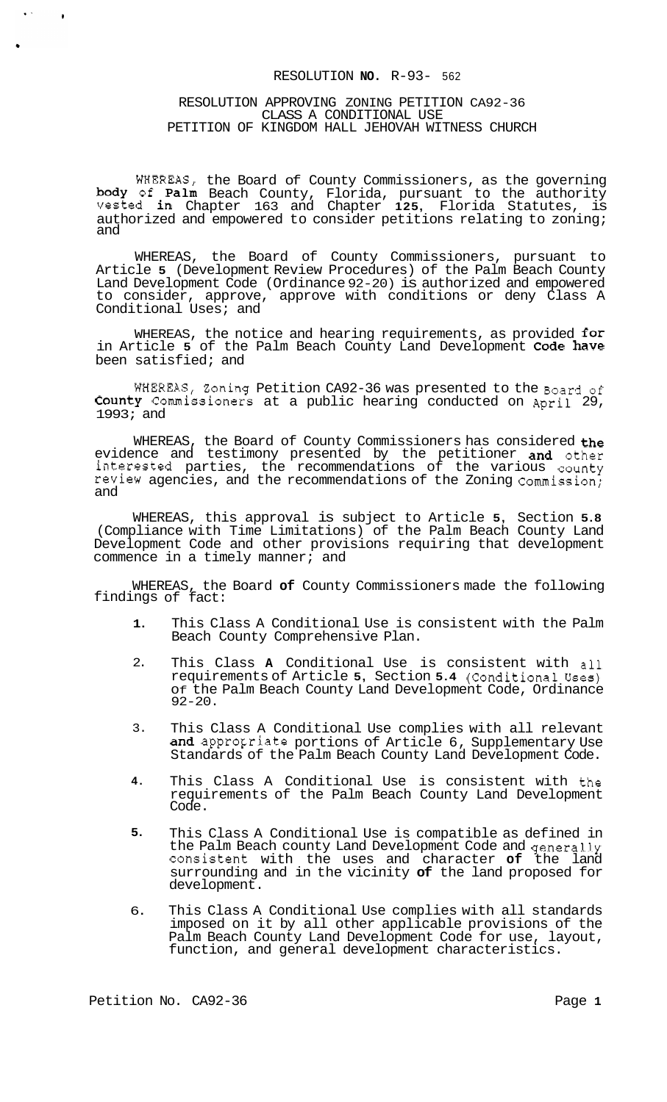#### RESOLUTION **NO.** R-93- 562

#### RESOLUTION APPROVING ZONING PETITION CA92-36 CLASS A CONDITIONAL USE PETITION OF KINGDOM HALL JEHOVAH WITNESS CHURCH

WHEREAS, the Board of County Commissioners, as the governing body of Palm Beach County, Florida, pursuant to the authority vested in Chapter 163 and Chapter **125,** Florida Statutes, is authorized and empowered to consider petitions relating to zoning; and

WHEREAS, the Board of County Commissioners, pursuant to Article **5** (Development Review Procedures) of the Palm Beach County Land Development Code (Ordinance 92-20) is authorized and empowered to consider, approve, approve with conditions or deny Class A Conditional Uses; and

WHEREAS, the notice and hearing requirements, as provided  ${\tt for}$ in Article **5** of the Palm Beach County Land Development Code have been satisfied; and

WHEREAS, Zoning Petition CA92-36 was presented to the Board of County Commissioners at a public hearing conducted on April 29, 1993; and

WHEREAS, the Board of County Commissioners has considered the evidence and testimony presented by the petitioner and other interested parties, the recommendations of the various county review agencies, and the recommendations of the Zoning Commission; and

WHEREAS, this approval is subject to Article **5,** Section **5.8**  (Compliance with Time Limitations) of the Palm Beach County Land Development Code and other provisions requiring that development commence in a timely manner; and

WHEREAS, the Board **of** County Commissioners made the following findings of fact:

- **1.**  This Class A Conditional Use is consistent with the Palm Beach County Comprehensive Plan.
- 2. This Class **A** Conditional Use is consistent with all requirements of Article 5, Section 5.4 (Conditional Uses) Of the Palm Beach County Land Development Code, Ordinance 92-20.
- 3. This Class A Conditional Use complies with all relevant and appropriate portions of Article 6, Supplementary Use Standards of the Palm Beach County Land Development Code.
- **4.**  This Class A Conditional Use is consistent with the requirements of the Palm Beach County Land Development Code.
- **5.**  This Class A Conditional Use is compatible as defined in the Palm Beach county Land Development Code and generally consistent with the uses and character **of** the land surrounding and in the vicinity **of** the land proposed for development.
- 6. This Class A Conditional Use complies with all standards imposed on it by all other applicable provisions of the Palm Beach County Land Development Code for use, layout, function, and general development characteristics.

 $\ddot{\phantom{a}}$ 

 $\bullet$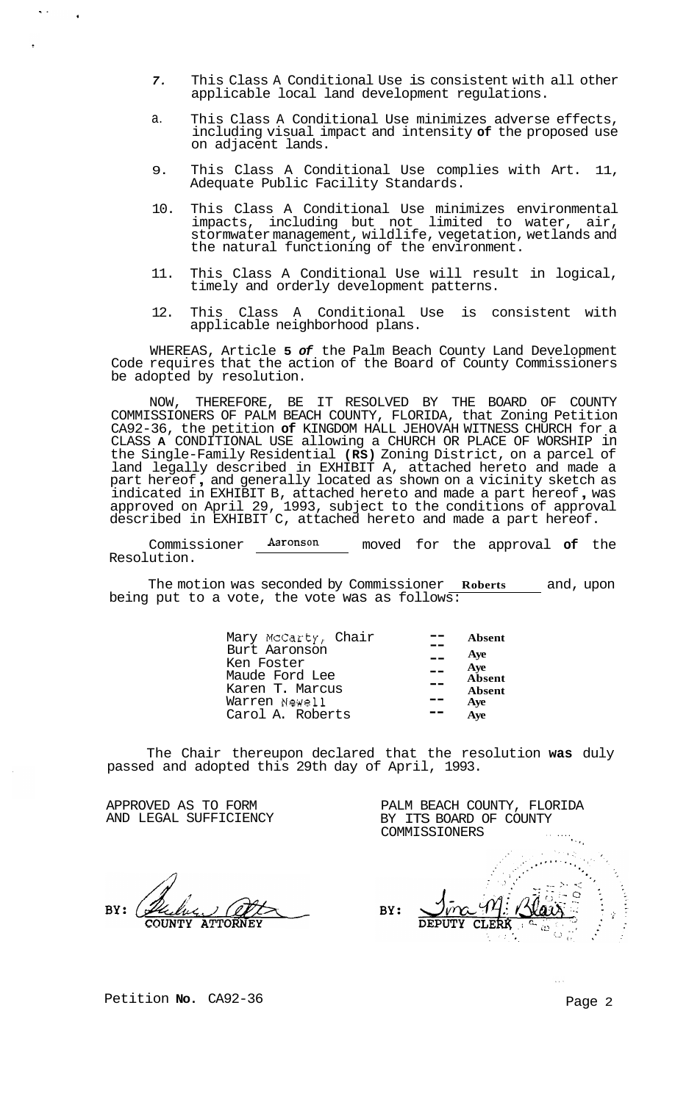- *7.*  This Class A Conditional Use is consistent with all other applicable local land development regulations.
- a. This Class A Conditional Use minimizes adverse effects, including visual impact and intensity **of** the proposed use on adjacent lands.
- 9. This Class A Conditional Use complies with Art. 11, Adequate Public Facility Standards.
- 10. This Class A Conditional Use minimizes environmental impacts, including but not limited to water, air, stormwater management, wildlife, vegetation, wetlands and the natural functioning of the environment.
- 11. This Class A Conditional Use will result in logical, timely and orderly development patterns.
- 12. This Class A Conditional Use is consistent with applicable neighborhood plans.

WHEREAS, Article **5** *of* the Palm Beach County Land Development Code requires that the action of the Board of County Commissioners be adopted by resolution.

NOW, THEREFORE, BE IT RESOLVED BY THE BOARD OF COUNTY COMMISSIONERS OF PALM BEACH COUNTY, FLORIDA, that Zoning Petition CA92-36, the petition **of** KINGDOM HALL JEHOVAH WITNESS CHURCH for a CLASS **A** CONDITIONAL USE allowing a CHURCH OR PLACE OF WORSHIP in the Single-Family Residential **(RS)** Zoning District, on a parcel of land legally described in EXHIBIT A, attached hereto and made a part hereof , and generally located as shown on a vicinity sketch as part hereof, and generally located as shown on a vicinity sketch as<br>indicated in EXHIBIT B, attached hereto and made a part hereof, was approved on April 29, 1993, subject to the conditions of approval described in EXHIBIT C, attached hereto and made a part hereof.

Commissioner  $\frac{\text{Aaronson}}{\text{Aeronson}}$  moved for the approval of the Resolution.

The motion was seconded by Commissioner **Roberts** and, upon being put to a vote, the vote was as follows:

| Mary McCarty, Chair<br>Burt Aaronson | Absent |
|--------------------------------------|--------|
|                                      | Ave    |
| Ken Foster<br>$\sim$ $\sim$          | Aye    |
| Maude Ford Lee                       | Absent |
| Karen T. Marcus                      | Absent |
| Warren Newell                        | Ave    |
| Carol A. Roberts                     | Ave    |

The Chair thereupon declared that the resolution **was** duly passed and adopted this 29th day of April, 1993.

APPROVED AS TO FORM AND LEGAL SUFFICIENCY

BY:

**'SI,**  BY: CLERI

PALM BEACH COUNTY, FLORIDA BY ITS BOARD OF COUNTY

COMMISSIONERS

Petition **No.** CA92-36 Petition **No.** 2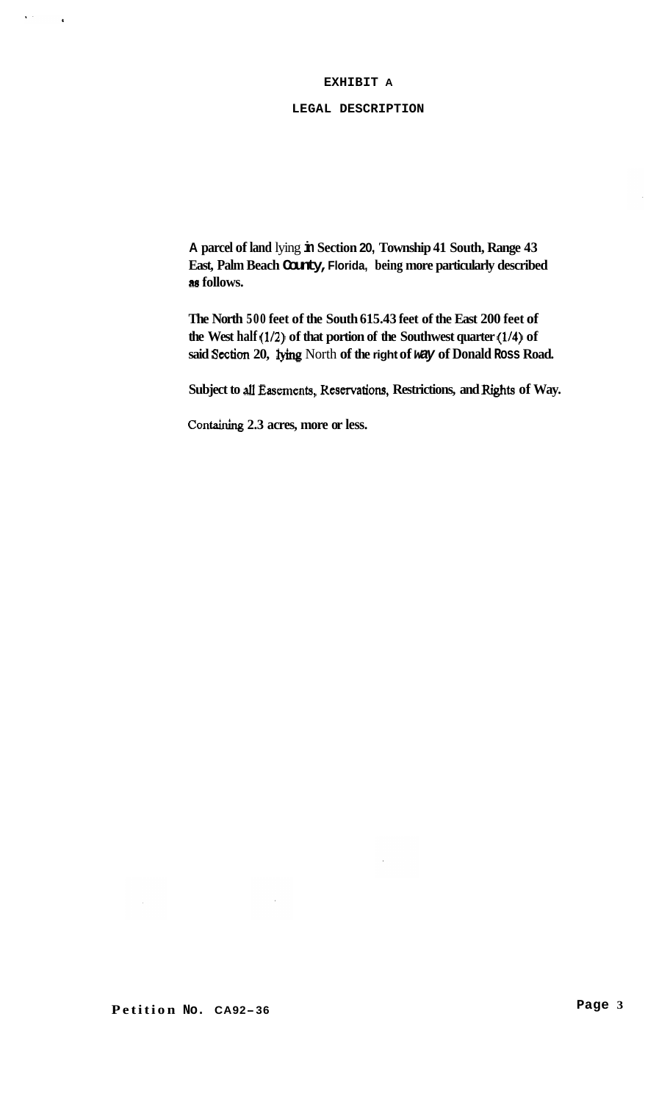# **EXHIBIT A**

#### **LEGAL DESCRIPTION**

**A parcel of land** lying **in Section 20, Township 41 South, Range 43 East, Palm Beach County, Florida, being more particularly described as follows.** 

**The North 500 feet of the South 615.43 feet of the East 200 feet of the West half (1/2) of that portion of the Southwest quarter (1/4) of said Section 20,** lying North **of the right of** *way* **of Donald Ross Road.** 

**Subject to** all Easements, **Reservatiom, Restrictions, and** Rights **of Way.** 

**Containing 2.3 acres, more or less.** 

 $\mathbf{A}^{(1)}$  and

 $\ddot{\phantom{1}}$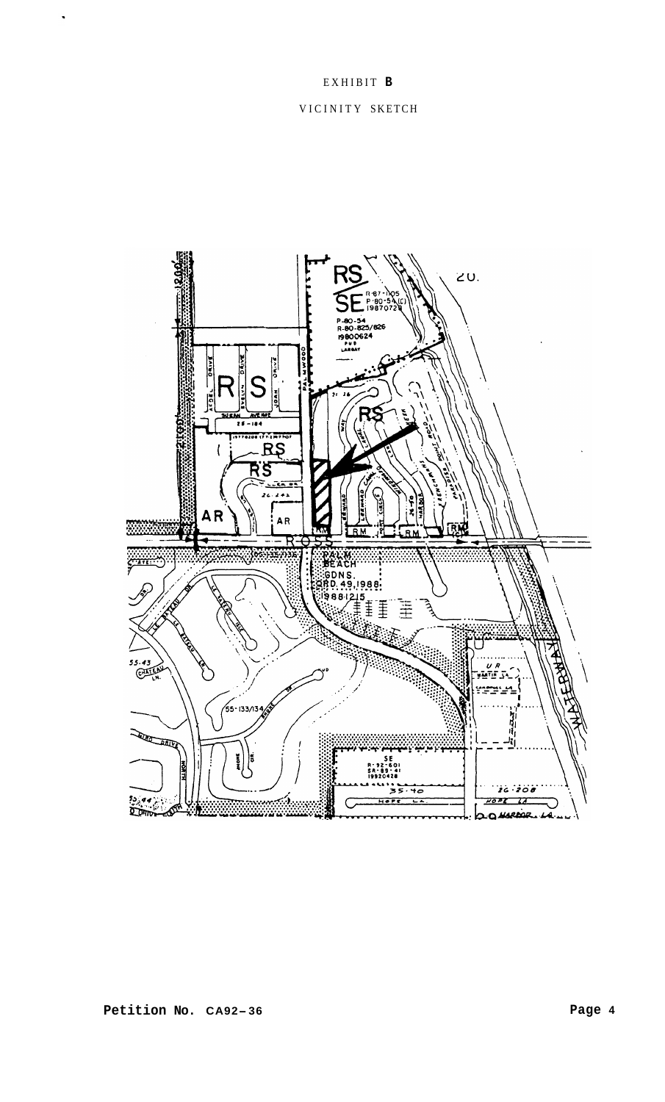# EXHIBIT **B**  VICINITY SKETCH

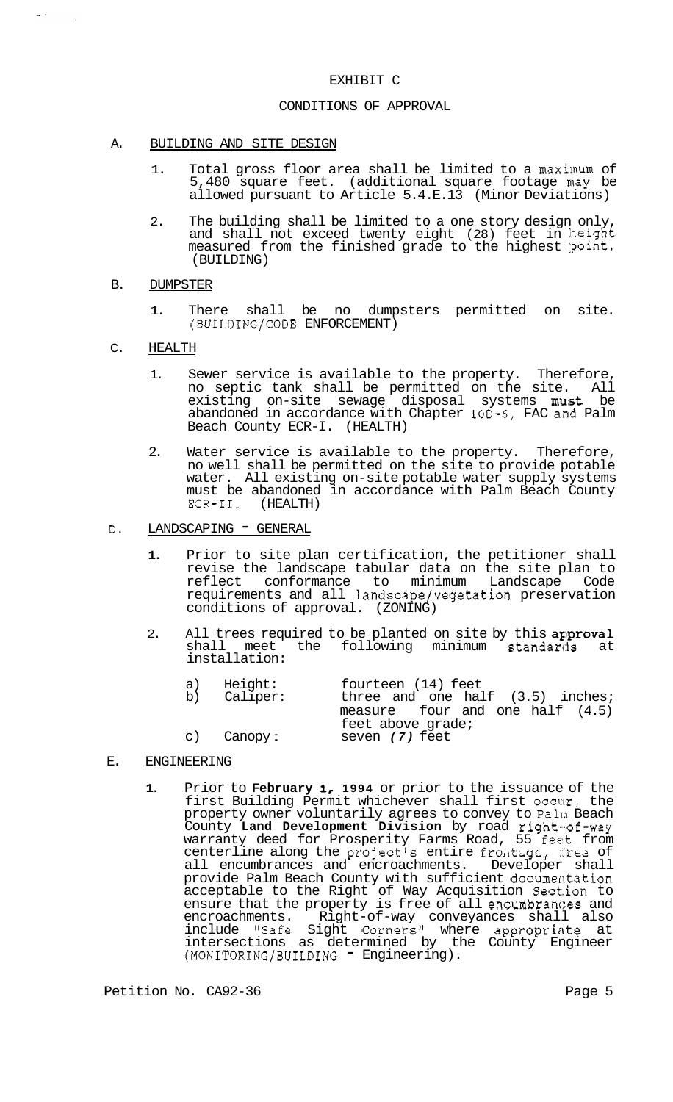### EXHIBIT C

#### CONDITIONS OF APPROVAL

- A. BUILDING AND SITE DESIGN
	- 1. Total gross floor area shall be limited to a maximum of 5,480 square feet. (additional square footage may be allowed pursuant to Article 5.4.E.13 (Minor Deviations)
	- 2. The building shall be limited to a one story design only, and shall not exceed twenty eight (28) feet in height measured from the finished grade to the highest point. (BUILDING)
- B. DUMPSTER

 $\bar{\omega}$  .

- 1. There shall be no dumpsters permitted on site. (BUILDING/CODE ENFORCEMENT)
- C. HEALTH
	- 1. Sewer service is available to the property. Therefore, no septic tank shall be permitted on the site. All existing on-site sewage disposal systems must be abandoned in accordance with Chapter 10D-6, FAC and Palm Beach County ECR-I. (HEALTH)
	- 2. Water service is available to the property. Therefore, no well shall be permitted on the site to provide potable water. All existing on-site potable water supply systems must be abandoned in accordance with Palm Beach County ECR-II. (HEALTH) (HEALTH)
- D. LANDSCAPING GENERAL
	- **1.** Prior to site plan certification, the petitioner shall revise the landscape tabular data on the site plan to reflect conformance to minimum Landscape Code requirements and all landscape/vegetation preservation conditions of approval. (ZONING)
	- 2. All trees required to be planted on site by this approval shall meet the following minimum standards at installation:

| a) Height:  | fourteen (14) feet                                     |
|-------------|--------------------------------------------------------|
| b) Caliper: | three and one half (3.5) inches;                       |
|             | measure four and one half $(4.5)$<br>feet above grade; |
| c) Canopy:  | seven (7) feet                                         |

- E. ENGINEERING
	- **1.** Prior to **February I, 1994** or prior to the issuance of the first Building Permit whichever shall first occur, the property owner voluntarily agrees to convey to Palm Beach County **Land Development Division** by road right-of-way warranty deed for Prosperity Farms Road, 55 feet from centerline along the project's entire fromtage, free of all encumbrances and encroachments. Developer shall provide Palm Beach County with sufficient documentation acceptable to the Right of Way Acquisition Section to ensure that the property is free of all encumbrances and encroachments. Right-of-way conveyances shall also include "Safe Sight Corners" where appropriate at intersections as determined by the County Engineer (MONITORING/BUILDING - Engineering).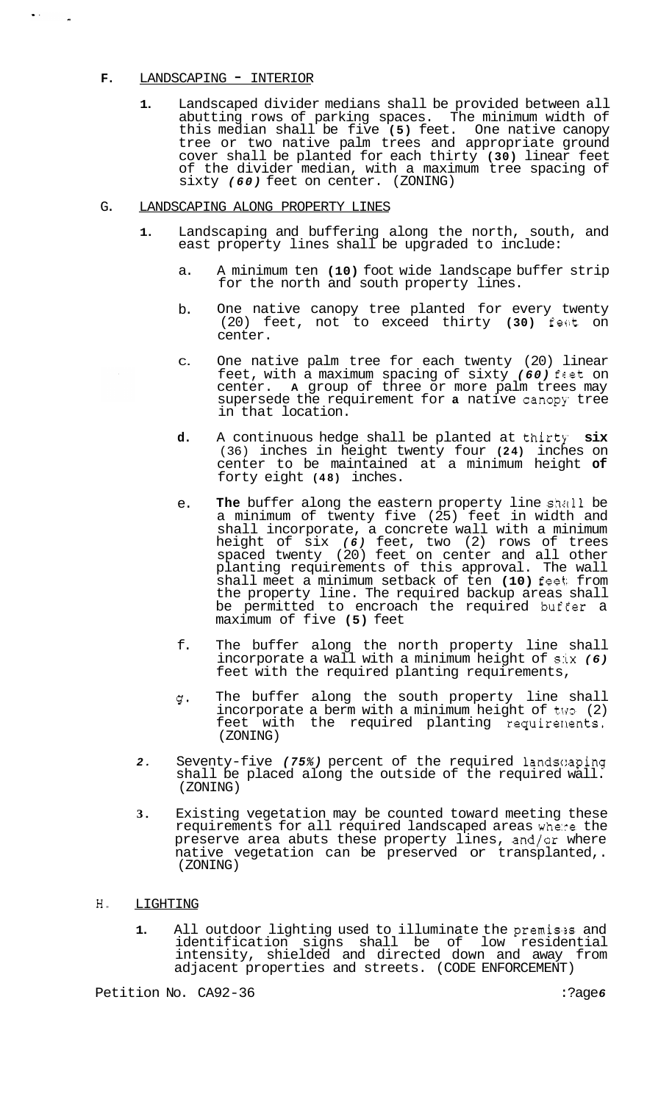#### **F.** LANDSCAPING - INTERIOR

 $\bullet$   $<$ 

**1.** Landscaped divider medians shall be provided between all abutting rows of parking spaces. The minimum width of this median shall be five **(5)** feet. One native canopy tree or two native palm trees and appropriate ground cover shall be planted for each thirty **(30)** linear feet of the divider median, with a maximum tree spacing of sixty *(60)* feet on center. (ZONING)

#### G. LANDSCAPING ALONG PROPERTY LINES

- **1.** Landscaping and buffering along the north, south, and east property lines shall be upgraded to include:
	- a. A minimum ten **(10)** foot wide landscape buffer strip for the north and south property lines.
	- b. One native canopy tree planted for every twenty (20) feet, not to exceed thirty **(30)** feet on center.
	- C. One native palm tree for each twenty (20) linear feet, with a maximum spacing of sixty *(60)* feet on center. **A** group of three or more palm trees may supersede the requirement for **a** native canopy tree in that location.
	- **d.**  A continuous hedge shall be planted at thirty six (36) inches in height twenty four **(24)** inches on center to be maintained at a minimum height **of**  forty eight **(48)** inches.
	- e. **The** buffer along the eastern property line shall be a minimum of twenty five (25) feet in width and shall incorporate, a concrete wall with a minimum height of six *(6)* feet, two (2) rows of trees spaced twenty (20) feet on center and all other planting requirements of this approval. The wall shall meet a minimum setback of ten **(10)** feet: from the property line. The required backup areas shall be permitted to encroach the required buf€er a maximum of five **(5)** feet
	- f. The buffer along the north property line shall incorporate a wall with a minimum height of six *(6)*  feet with the required planting requirements,
	- $\sigma$ . The buffer along the south property line shall incorporate a berm with a minimum height of two (2) feet with the required planting requirenents. (ZONING)
- 2. Seventy-five (75%) percent of the required landscaping shall be placed along the outside of the required wall. (ZONING)
- **3.** Existing vegetation may be counted toward meeting these requirements for all required landscaped areas where the preserve area abuts these property lines, and/or where native vegetation can be preserved or transplanted,. (ZONING)

#### **H.** LIGHTING

1. All outdoor lighting used to illuminate the premises and identification signs shall be of low residential intensity, shielded and directed down and away from adjacent properties and streets. (CODE ENFORCEMENT)